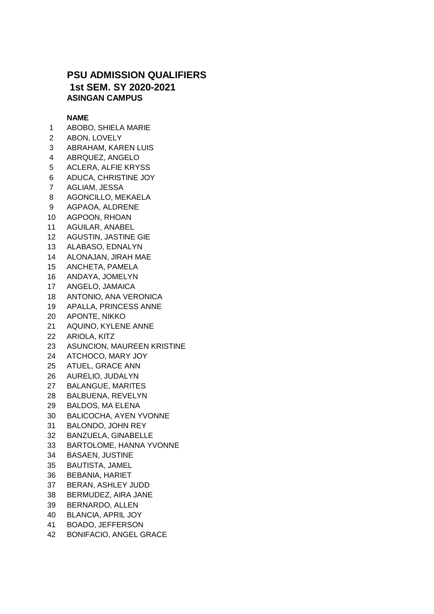## **PSU ADMISSION QUALIFIERS 1st SEM. SY 2020-2021 ASINGAN CAMPUS**

## **NAME**

- ABOBO, SHIELA MARIE
- ABON, LOVELY
- ABRAHAM, KAREN LUIS
- ABRQUEZ, ANGELO
- ACLERA, ALFIE KRYSS
- ADUCA, CHRISTINE JOY
- AGLIAM, JESSA
- AGONCILLO, MEKAELA
- AGPAOA, ALDRENE
- AGPOON, RHOAN
- AGUILAR, ANABEL
- AGUSTIN, JASTINE GIE
- ALABASO, EDNALYN
- ALONAJAN, JIRAH MAE
- ANCHETA, PAMELA
- ANDAYA, JOMELYN
- ANGELO, JAMAICA
- ANTONIO, ANA VERONICA
- APALLA, PRINCESS ANNE
- APONTE, NIKKO
- AQUINO, KYLENE ANNE
- ARIOLA, KITZ
- ASUNCION, MAUREEN KRISTINE
- ATCHOCO, MARY JOY
- ATUEL, GRACE ANN
- AURELIO, JUDALYN
- BALANGUE, MARITES
- BALBUENA, REVELYN
- BALDOS, MA ELENA
- BALICOCHA, AYEN YVONNE
- BALONDO, JOHN REY
- BANZUELA, GINABELLE
- BARTOLOME, HANNA YVONNE
- BASAEN, JUSTINE
- BAUTISTA, JAMEL
- BEBANIA, HARIET
- BERAN, ASHLEY JUDD
- BERMUDEZ, AIRA JANE
- BERNARDO, ALLEN
- BLANCIA, APRIL JOY
- BOADO, JEFFERSON
- BONIFACIO, ANGEL GRACE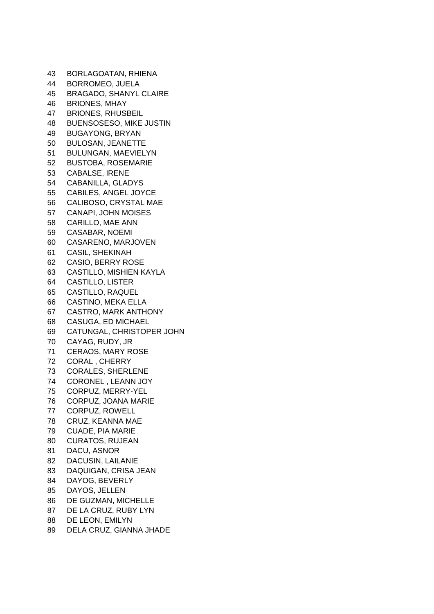BORLAGOATAN, RHIENA BORROMEO, JUELA BRAGADO, SHANYL CLAIRE BRIONES, MHAY BRIONES, RHUSBEIL BUENSOSESO, MIKE JUSTIN BUGAYONG, BRYAN BULOSAN, JEANETTE BULUNGAN, MAEVIELYN BUSTOBA, ROSEMARIE CABALSE, IRENE CABANILLA, GLADYS CABILES, ANGEL JOYCE CALIBOSO, CRYSTAL MAE CANAPI, JOHN MOISES CARILLO, MAE ANN CASABAR, NOEMI CASARENO, MARJOVEN CASIL, SHEKINAH CASIO, BERRY ROSE CASTILLO, MISHIEN KAYLA CASTILLO, LISTER CASTILLO, RAQUEL CASTINO, MEKA ELLA CASTRO, MARK ANTHONY CASUGA, ED MICHAEL CATUNGAL, CHRISTOPER JOHN CAYAG, RUDY, JR CERAOS, MARY ROSE CORAL , CHERRY CORALES, SHERLENE CORONEL , LEANN JOY CORPUZ, MERRY-YEL CORPUZ, JOANA MARIE CORPUZ, ROWELL CRUZ, KEANNA MAE CUADE, PIA MARIE CURATOS, RUJEAN DACU, ASNOR DACUSIN, LAILANIE DAQUIGAN, CRISA JEAN DAYOG, BEVERLY DAYOS, JELLEN DE GUZMAN, MICHELLE DE LA CRUZ, RUBY LYN DE LEON, EMILYN DELA CRUZ, GIANNA JHADE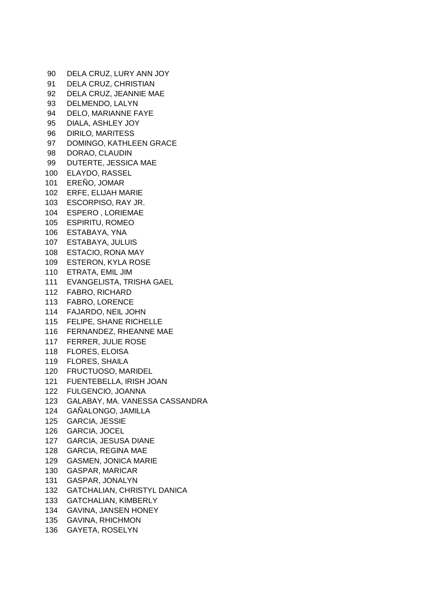DELA CRUZ, LURY ANN JOY DELA CRUZ, CHRISTIAN DELA CRUZ, JEANNIE MAE DELMENDO, LALYN DELO, MARIANNE FAYE DIALA, ASHLEY JOY DIRILO, MARITESS DOMINGO, KATHLEEN GRACE DORAO, CLAUDIN DUTERTE, JESSICA MAE ELAYDO, RASSEL EREÑO, JOMAR ERFE, ELIJAH MARIE ESCORPISO, RAY JR. ESPERO , LORIEMAE ESPIRITU, ROMEO ESTABAYA, YNA ESTABAYA, JULUIS ESTACIO, RONA MAY ESTERON, KYLA ROSE ETRATA, EMIL JIM EVANGELISTA, TRISHA GAEL FABRO, RICHARD FABRO, LORENCE FAJARDO, NEIL JOHN FELIPE, SHANE RICHELLE FERNANDEZ, RHEANNE MAE FERRER, JULIE ROSE FLORES, ELOISA FLORES, SHAILA FRUCTUOSO, MARIDEL FUENTEBELLA, IRISH JOAN FULGENCIO, JOANNA GALABAY, MA. VANESSA CASSANDRA GAÑALONGO, JAMILLA GARCIA, JESSIE GARCIA, JOCEL GARCIA, JESUSA DIANE GARCIA, REGINA MAE GASMEN, JONICA MARIE GASPAR, MARICAR GASPAR, JONALYN GATCHALIAN, CHRISTYL DANICA GATCHALIAN, KIMBERLY GAVINA, JANSEN HONEY GAVINA, RHICHMON GAYETA, ROSELYN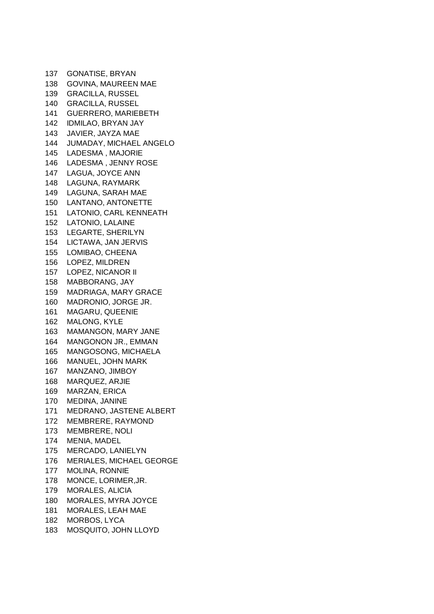GONATISE, BRYAN GOVINA, MAUREEN MAE GRACILLA, RUSSEL GRACILLA, RUSSEL GUERRERO, MARIEBETH IDMILAO, BRYAN JAY JAVIER, JAYZA MAE JUMADAY, MICHAEL ANGELO LADESMA , MAJORIE LADESMA , JENNY ROSE LAGUA, JOYCE ANN LAGUNA, RAYMARK LAGUNA, SARAH MAE LANTANO, ANTONETTE LATONIO, CARL KENNEATH LATONIO, LALAINE LEGARTE, SHERILYN LICTAWA, JAN JERVIS LOMIBAO, CHEENA LOPEZ, MILDREN LOPEZ, NICANOR II MABBORANG, JAY MADRIAGA, MARY GRACE MADRONIO, JORGE JR. MAGARU, QUEENIE MALONG, KYLE MAMANGON, MARY JANE MANGONON JR., EMMAN MANGOSONG, MICHAELA MANUEL, JOHN MARK MANZANO, JIMBOY MARQUEZ, ARJIE MARZAN, ERICA MEDINA, JANINE MEDRANO, JASTENE ALBERT MEMBRERE, RAYMOND MEMBRERE, NOLI MENIA, MADEL MERCADO, LANIELYN MERIALES, MICHAEL GEORGE MOLINA, RONNIE MONCE, LORIMER,JR. MORALES, ALICIA MORALES, MYRA JOYCE MORALES, LEAH MAE MORBOS, LYCA MOSQUITO, JOHN LLOYD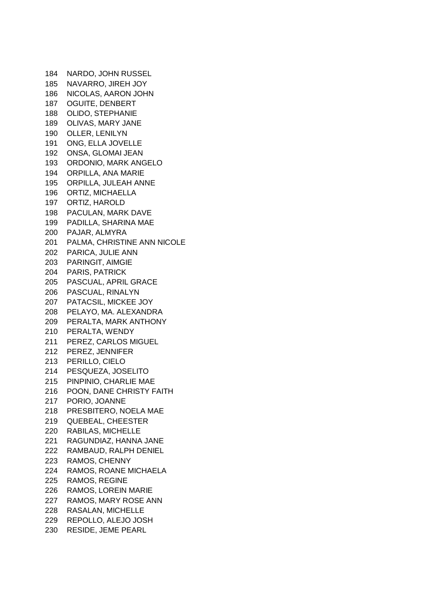NARDO, JOHN RUSSEL NAVARRO, JIREH JOY NICOLAS, AARON JOHN OGUITE, DENBERT OLIDO, STEPHANIE OLIVAS, MARY JANE OLLER, LENILYN ONG, ELLA JOVELLE ONSA, GLOMAI JEAN ORDONIO, MARK ANGELO ORPILLA, ANA MARIE ORPILLA, JULEAH ANNE ORTIZ, MICHAELLA ORTIZ, HAROLD PACULAN, MARK DAVE PADILLA, SHARINA MAE PAJAR, ALMYRA PALMA, CHRISTINE ANN NICOLE PARICA, JULIE ANN PARINGIT, AIMGIE PARIS, PATRICK PASCUAL, APRIL GRACE PASCUAL, RINALYN PATACSIL, MICKEE JOY PELAYO, MA. ALEXANDRA PERALTA, MARK ANTHONY PERALTA, WENDY PEREZ, CARLOS MIGUEL PEREZ, JENNIFER PERILLO, CIELO PESQUEZA, JOSELITO PINPINIO, CHARLIE MAE POON, DANE CHRISTY FAITH PORIO, JOANNE PRESBITERO, NOELA MAE QUEBEAL, CHEESTER RABILAS, MICHELLE RAGUNDIAZ, HANNA JANE RAMBAUD, RALPH DENIEL RAMOS, CHENNY RAMOS, ROANE MICHAELA RAMOS, REGINE RAMOS, LOREIN MARIE RAMOS, MARY ROSE ANN RASALAN, MICHELLE REPOLLO, ALEJO JOSH RESIDE, JEME PEARL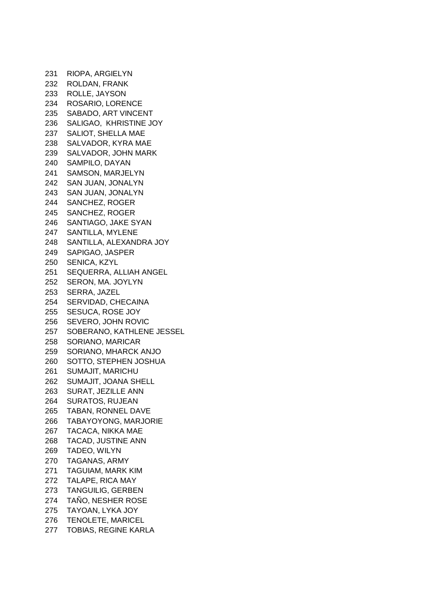RIOPA, ARGIELYN ROLDAN, FRANK ROLLE, JAYSON ROSARIO, LORENCE SABADO, ART VINCENT SALIGAO, KHRISTINE JOY SALIOT, SHELLA MAE SALVADOR, KYRA MAE SALVADOR, JOHN MARK SAMPILO, DAYAN SAMSON, MARJELYN SAN JUAN, JONALYN SAN JUAN, JONALYN SANCHEZ, ROGER SANCHEZ, ROGER SANTIAGO, JAKE SYAN SANTILLA, MYLENE SANTILLA, ALEXANDRA JOY SAPIGAO, JASPER SENICA, KZYL SEQUERRA, ALLIAH ANGEL SERON, MA. JOYLYN SERRA, JAZEL SERVIDAD, CHECAINA SESUCA, ROSE JOY SEVERO, JOHN ROVIC SOBERANO, KATHLENE JESSEL SORIANO, MARICAR SORIANO, MHARCK ANJO SOTTO, STEPHEN JOSHUA SUMAJIT, MARICHU SUMAJIT, JOANA SHELL SURAT, JEZILLE ANN SURATOS, RUJEAN TABAN, RONNEL DAVE TABAYOYONG, MARJORIE TACACA, NIKKA MAE TACAD, JUSTINE ANN TADEO, WILYN TAGANAS, ARMY TAGUIAM, MARK KIM TALAPE, RICA MAY TANGUILIG, GERBEN TAÑO, NESHER ROSE TAYOAN, LYKA JOY TENOLETE, MARICEL TOBIAS, REGINE KARLA